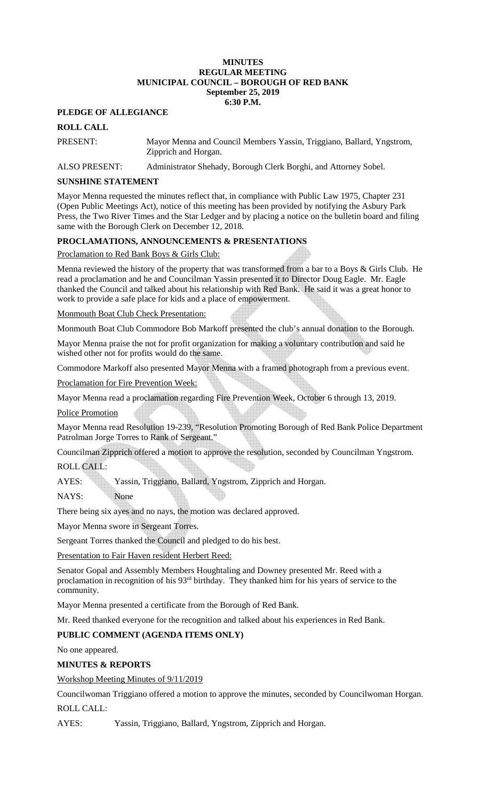#### **MINUTES REGULAR MEETING MUNICIPAL COUNCIL – BOROUGH OF RED BANK September 25, 2019 6:30 P.M.**

## **PLEDGE OF ALLEGIANCE**

## **ROLL CALL**

PRESENT: Mayor Menna and Council Members Yassin, Triggiano, Ballard, Yngstrom, Zipprich and Horgan.

ALSO PRESENT: Administrator Shehady, Borough Clerk Borghi, and Attorney Sobel.

## **SUNSHINE STATEMENT**

Mayor Menna requested the minutes reflect that, in compliance with Public Law 1975, Chapter 231 (Open Public Meetings Act), notice of this meeting has been provided by notifying the Asbury Park Press, the Two River Times and the Star Ledger and by placing a notice on the bulletin board and filing same with the Borough Clerk on December 12, 2018.

## **PROCLAMATIONS, ANNOUNCEMENTS & PRESENTATIONS**

## Proclamation to Red Bank Boys & Girls Club:

Menna reviewed the history of the property that was transformed from a bar to a Boys & Girls Club. He read a proclamation and he and Councilman Yassin presented it to Director Doug Eagle. Mr. Eagle thanked the Council and talked about his relationship with Red Bank. He said it was a great honor to work to provide a safe place for kids and a place of empowerment.

### Monmouth Boat Club Check Presentation:

Monmouth Boat Club Commodore Bob Markoff presented the club's annual donation to the Borough.

Mayor Menna praise the not for profit organization for making a voluntary contribution and said he wished other not for profits would do the same.

Commodore Markoff also presented Mayor Menna with a framed photograph from a previous event.

Proclamation for Fire Prevention Week:

Mayor Menna read a proclamation regarding Fire Prevention Week, October 6 through 13, 2019.

Police Promotion

Mayor Menna read Resolution 19-239, "Resolution Promoting Borough of Red Bank Police Department Patrolman Jorge Torres to Rank of Sergeant."

Councilman Zipprich offered a motion to approve the resolution, seconded by Councilman Yngstrom.

## ROLL CALL:

AYES: Yassin, Triggiano, Ballard, Yngstrom, Zipprich and Horgan.

NAYS: None

There being six ayes and no nays, the motion was declared approved.

Mayor Menna swore in Sergeant Torres.

Sergeant Torres thanked the Council and pledged to do his best.

Presentation to Fair Haven resident Herbert Reed:

Senator Gopal and Assembly Members Houghtaling and Downey presented Mr. Reed with a proclamation in recognition of his 93<sup>rd</sup> birthday. They thanked him for his years of service to the community.

Mayor Menna presented a certificate from the Borough of Red Bank.

Mr. Reed thanked everyone for the recognition and talked about his experiences in Red Bank.

# **PUBLIC COMMENT (AGENDA ITEMS ONLY)**

No one appeared.

## **MINUTES & REPORTS**

Workshop Meeting Minutes of 9/11/2019

Councilwoman Triggiano offered a motion to approve the minutes, seconded by Councilwoman Horgan. ROLL CALL:

AYES: Yassin, Triggiano, Ballard, Yngstrom, Zipprich and Horgan.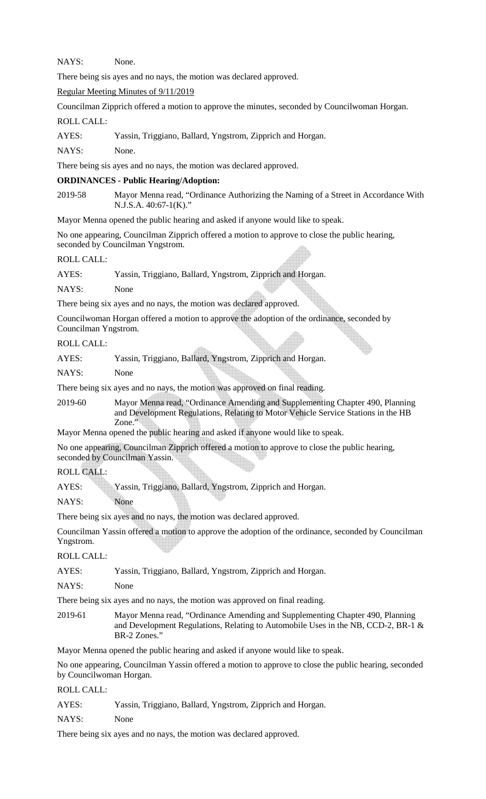NAYS: None.

There being sis ayes and no nays, the motion was declared approved.

Regular Meeting Minutes of 9/11/2019

Councilman Zipprich offered a motion to approve the minutes, seconded by Councilwoman Horgan. ROLL CALL:

AYES: Yassin, Triggiano, Ballard, Yngstrom, Zipprich and Horgan.

NAYS: None.

There being sis ayes and no nays, the motion was declared approved.

### **ORDINANCES - Public Hearing/Adoption:**

2019-58 Mayor Menna read, "Ordinance Authorizing the Naming of a Street in Accordance With N.J.S.A. 40:67-1(K)."

Mayor Menna opened the public hearing and asked if anyone would like to speak.

No one appearing, Councilman Zipprich offered a motion to approve to close the public hearing, seconded by Councilman Yngstrom.

### ROLL CALL:

AYES: Yassin, Triggiano, Ballard, Yngstrom, Zipprich and Horgan.

NAYS: None

There being six ayes and no nays, the motion was declared approved.

Councilwoman Horgan offered a motion to approve the adoption of the ordinance, seconded by Councilman Yngstrom.

### ROLL CALL:

|       |  | Yassin, Triggiano, Ballard, Yngstrom, Zipprich and Horgan. |
|-------|--|------------------------------------------------------------|
| AYES: |  |                                                            |
|       |  |                                                            |
|       |  |                                                            |

 $\triangle$ 

NAYS: None

There being six ayes and no nays, the motion was approved on final reading.

2019-60 Mayor Menna read, "Ordinance Amending and Supplementing Chapter 490, Planning and Development Regulations, Relating to Motor Vehicle Service Stations in the HB Zone."

Mayor Menna opened the public hearing and asked if anyone would like to speak.

No one appearing, Councilman Zipprich offered a motion to approve to close the public hearing, seconded by Councilman Yassin.

## ROLL CALL:

AYES: Yassin, Triggiano, Ballard, Yngstrom, Zipprich and Horgan.

NAYS: None

There being six ayes and no nays, the motion was declared approved.

Councilman Yassin offered a motion to approve the adoption of the ordinance, seconded by Councilman Yngstrom.

ROLL CALL:

AYES: Yassin, Triggiano, Ballard, Yngstrom, Zipprich and Horgan.

NAYS: None

There being six ayes and no nays, the motion was approved on final reading.

2019-61 Mayor Menna read, "Ordinance Amending and Supplementing Chapter 490, Planning and Development Regulations, Relating to Automobile Uses in the NB, CCD-2, BR-1 & BR-2 Zones."

Mayor Menna opened the public hearing and asked if anyone would like to speak.

No one appearing, Councilman Yassin offered a motion to approve to close the public hearing, seconded by Councilwoman Horgan.

### ROLL CALL:

| AYES: |  |  | Yassin, Triggiano, Ballard, Yngstrom, Zipprich and Horgan. |
|-------|--|--|------------------------------------------------------------|
|-------|--|--|------------------------------------------------------------|

NAYS: None

There being six ayes and no nays, the motion was declared approved.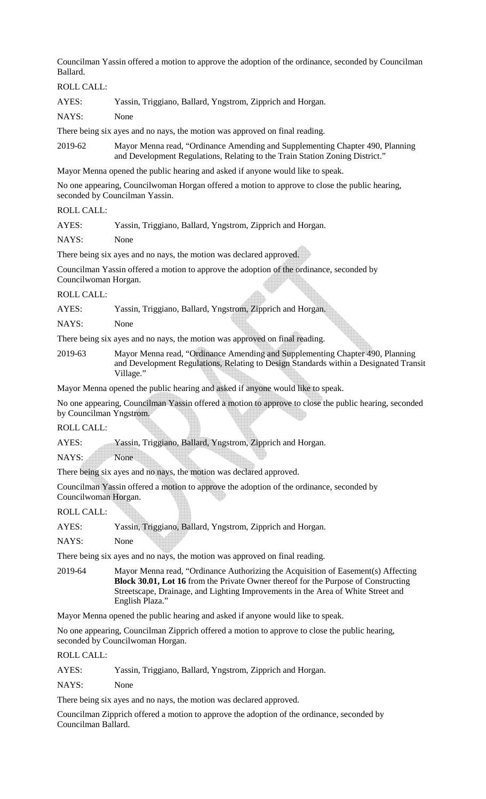Councilman Yassin offered a motion to approve the adoption of the ordinance, seconded by Councilman Ballard.

ROLL CALL:

AYES: Yassin, Triggiano, Ballard, Yngstrom, Zipprich and Horgan.

NAYS: None

There being six ayes and no nays, the motion was approved on final reading.

2019-62 Mayor Menna read, "Ordinance Amending and Supplementing Chapter 490, Planning and Development Regulations, Relating to the Train Station Zoning District."

Mayor Menna opened the public hearing and asked if anyone would like to speak.

No one appearing, Councilwoman Horgan offered a motion to approve to close the public hearing, seconded by Councilman Yassin.

#### ROLL CALL:

AYES: Yassin, Triggiano, Ballard, Yngstrom, Zipprich and Horgan.

NAYS: None

There being six ayes and no nays, the motion was declared approved.

Councilman Yassin offered a motion to approve the adoption of the ordinance, seconded by Councilwoman Horgan.

ROLL CALL:

AYES: Yassin, Triggiano, Ballard, Yngstrom, Zipprich and Horgan.

NAYS: None

There being six ayes and no nays, the motion was approved on final reading.

2019-63 Mayor Menna read, "Ordinance Amending and Supplementing Chapter 490, Planning and Development Regulations, Relating to Design Standards within a Designated Transit Village."

Mayor Menna opened the public hearing and asked if anyone would like to speak.

No one appearing, Councilman Yassin offered a motion to approve to close the public hearing, seconded by Councilman Yngstrom.

ROLL CALL:

AYES: Yassin, Triggiano, Ballard, Yngstrom, Zipprich and Horgan.

NAYS: None

There being six ayes and no nays, the motion was declared approved.

Councilman Yassin offered a motion to approve the adoption of the ordinance, seconded by Councilwoman Horgan.

ROLL CALL:

| AYES: | Yassin, Triggiano, Ballard, Yngstrom, Zipprich and Horgan. |  |  |
|-------|------------------------------------------------------------|--|--|
|       |                                                            |  |  |
|       |                                                            |  |  |
|       |                                                            |  |  |

NAYS: None

There being six ayes and no nays, the motion was approved on final reading.

2019-64 Mayor Menna read, "Ordinance Authorizing the Acquisition of Easement(s) Affecting **Block 30.01, Lot 16** from the Private Owner thereof for the Purpose of Constructing Streetscape, Drainage, and Lighting Improvements in the Area of White Street and English Plaza."

Mayor Menna opened the public hearing and asked if anyone would like to speak.

No one appearing, Councilman Zipprich offered a motion to approve to close the public hearing, seconded by Councilwoman Horgan.

ROLL CALL:

AYES: Yassin, Triggiano, Ballard, Yngstrom, Zipprich and Horgan.

NAYS: None

There being six ayes and no nays, the motion was declared approved.

Councilman Zipprich offered a motion to approve the adoption of the ordinance, seconded by Councilman Ballard.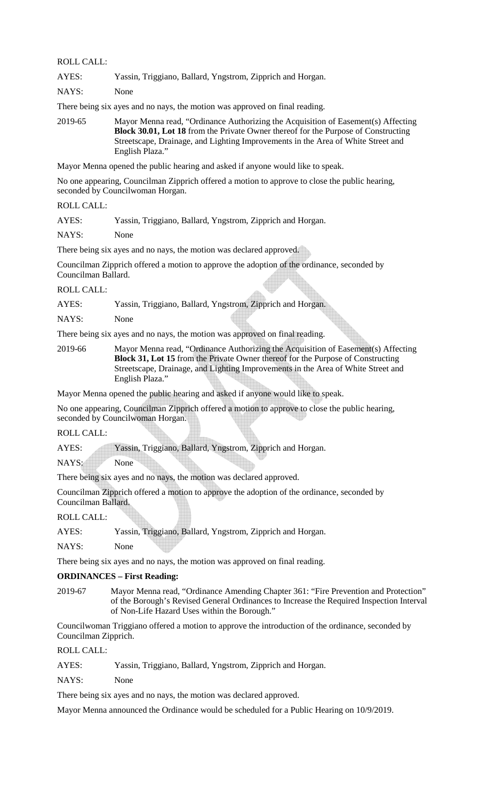#### ROLL CALL:

| AYES: |  |  | Yassin, Triggiano, Ballard, Yngstrom, Zipprich and Horgan. |
|-------|--|--|------------------------------------------------------------|
|       |  |  |                                                            |

NAYS: None

There being six ayes and no nays, the motion was approved on final reading.

2019-65 Mayor Menna read, "Ordinance Authorizing the Acquisition of Easement(s) Affecting **Block 30.01, Lot 18** from the Private Owner thereof for the Purpose of Constructing Streetscape, Drainage, and Lighting Improvements in the Area of White Street and English Plaza."

Mayor Menna opened the public hearing and asked if anyone would like to speak.

No one appearing, Councilman Zipprich offered a motion to approve to close the public hearing, seconded by Councilwoman Horgan.

ROLL CALL:

AYES: Yassin, Triggiano, Ballard, Yngstrom, Zipprich and Horgan.

NAYS: None

There being six ayes and no nays, the motion was declared approved.

Councilman Zipprich offered a motion to approve the adoption of the ordinance, seconded by Councilman Ballard.

#### ROLL CALL:

AYES: Yassin, Triggiano, Ballard, Yngstrom, Zipprich and Horgan.

NAYS: None

There being six ayes and no nays, the motion was approved on final reading.

2019-66 Mayor Menna read, "Ordinance Authorizing the Acquisition of Easement(s) Affecting **Block 31, Lot 15** from the Private Owner thereof for the Purpose of Constructing Streetscape, Drainage, and Lighting Improvements in the Area of White Street and English Plaza."

Mayor Menna opened the public hearing and asked if anyone would like to speak.

No one appearing, Councilman Zipprich offered a motion to approve to close the public hearing, seconded by Councilwoman Horgan.

ROLL CALL:

AYES: Yassin, Triggiano, Ballard, Yngstrom, Zipprich and Horgan.

NAYS: None

There being six ayes and no nays, the motion was declared approved.

Councilman Zipprich offered a motion to approve the adoption of the ordinance, seconded by Councilman Ballard.

ROLL CALL:

AYES: Yassin, Triggiano, Ballard, Yngstrom, Zipprich and Horgan.

NAYS: None

There being six ayes and no nays, the motion was approved on final reading.

#### **ORDINANCES – First Reading:**

2019-67 Mayor Menna read, "Ordinance Amending Chapter 361: "Fire Prevention and Protection" of the Borough's Revised General Ordinances to Increase the Required Inspection Interval of Non-Life Hazard Uses within the Borough."

Councilwoman Triggiano offered a motion to approve the introduction of the ordinance, seconded by Councilman Zipprich.

ROLL CALL:

AYES: Yassin, Triggiano, Ballard, Yngstrom, Zipprich and Horgan.

NAYS: None

There being six ayes and no nays, the motion was declared approved.

Mayor Menna announced the Ordinance would be scheduled for a Public Hearing on 10/9/2019.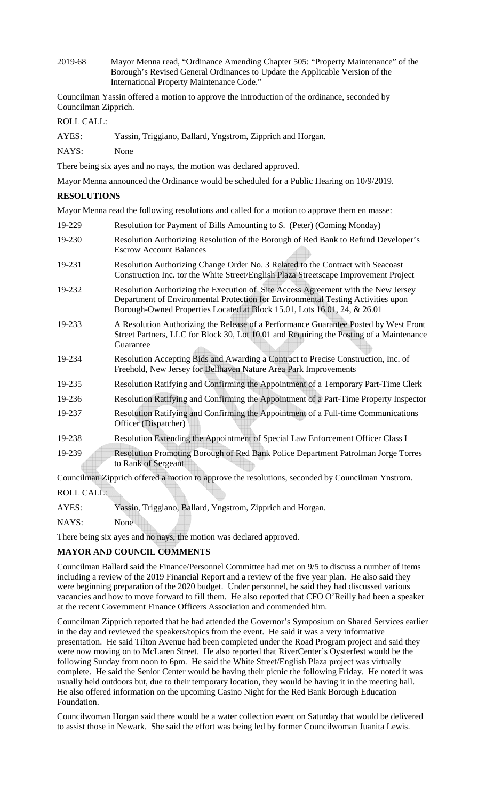2019-68 Mayor Menna read, "Ordinance Amending Chapter 505: "Property Maintenance" of the Borough's Revised General Ordinances to Update the Applicable Version of the International Property Maintenance Code."

Councilman Yassin offered a motion to approve the introduction of the ordinance, seconded by Councilman Zipprich.

ROLL CALL:

| AYES: | Yassin, Triggiano, Ballard, Yngstrom, Zipprich and Horgan. |
|-------|------------------------------------------------------------|
|-------|------------------------------------------------------------|

NAYS: None

There being six ayes and no nays, the motion was declared approved.

Mayor Menna announced the Ordinance would be scheduled for a Public Hearing on 10/9/2019.

### **RESOLUTIONS**

Mayor Menna read the following resolutions and called for a motion to approve them en masse:

19-229 Resolution for Payment of Bills Amounting to \$. (Peter) (Coming Monday) 19-230 Resolution Authorizing Resolution of the Borough of Red Bank to Refund Developer's Escrow Account Balances 19-231 Resolution Authorizing Change Order No. 3 Related to the Contract with Seacoast Construction Inc. tor the White Street/English Plaza Streetscape Improvement Project 19-232 Resolution Authorizing the Execution of Site Access Agreement with the New Jersey Department of Environmental Protection for Environmental Testing Activities upon Borough-Owned Properties Located at Block 15.01, Lots 16.01, 24, & 26.01 19-233 A Resolution Authorizing the Release of a Performance Guarantee Posted by West Front Street Partners, LLC for Block 30, Lot 10.01 and Requiring the Posting of a Maintenance Guarantee 19-234 Resolution Accepting Bids and Awarding a Contract to Precise Construction, Inc. of Freehold, New Jersey for Bellhaven Nature Area Park Improvements 19-235 Resolution Ratifying and Confirming the Appointment of a Temporary Part-Time Clerk 19-236 Resolution Ratifying and Confirming the Appointment of a Part-Time Property Inspector 19-237 Resolution Ratifying and Confirming the Appointment of a Full-time Communications Officer (Dispatcher) 19-238 Resolution Extending the Appointment of Special Law Enforcement Officer Class I 19-239 Resolution Promoting Borough of Red Bank Police Department Patrolman Jorge Torres to Rank of Sergeant

Councilman Zipprich offered a motion to approve the resolutions, seconded by Councilman Ynstrom.

ROLL CALL:

| AYES: | Yassin, Triggiano, Ballard, Yngstrom, Zipprich and Horgan. |  |  |
|-------|------------------------------------------------------------|--|--|
|       |                                                            |  |  |
|       |                                                            |  |  |

NAYS: None

There being six ayes and no nays, the motion was declared approved.

## **MAYOR AND COUNCIL COMMENTS**

Councilman Ballard said the Finance/Personnel Committee had met on 9/5 to discuss a number of items including a review of the 2019 Financial Report and a review of the five year plan. He also said they were beginning preparation of the 2020 budget. Under personnel, he said they had discussed various vacancies and how to move forward to fill them. He also reported that CFO O'Reilly had been a speaker at the recent Government Finance Officers Association and commended him.

Councilman Zipprich reported that he had attended the Governor's Symposium on Shared Services earlier in the day and reviewed the speakers/topics from the event. He said it was a very informative presentation. He said Tilton Avenue had been completed under the Road Program project and said they were now moving on to McLaren Street. He also reported that RiverCenter's Oysterfest would be the following Sunday from noon to 6pm. He said the White Street/English Plaza project was virtually complete. He said the Senior Center would be having their picnic the following Friday. He noted it was usually held outdoors but, due to their temporary location, they would be having it in the meeting hall. He also offered information on the upcoming Casino Night for the Red Bank Borough Education Foundation.

Councilwoman Horgan said there would be a water collection event on Saturday that would be delivered to assist those in Newark. She said the effort was being led by former Councilwoman Juanita Lewis.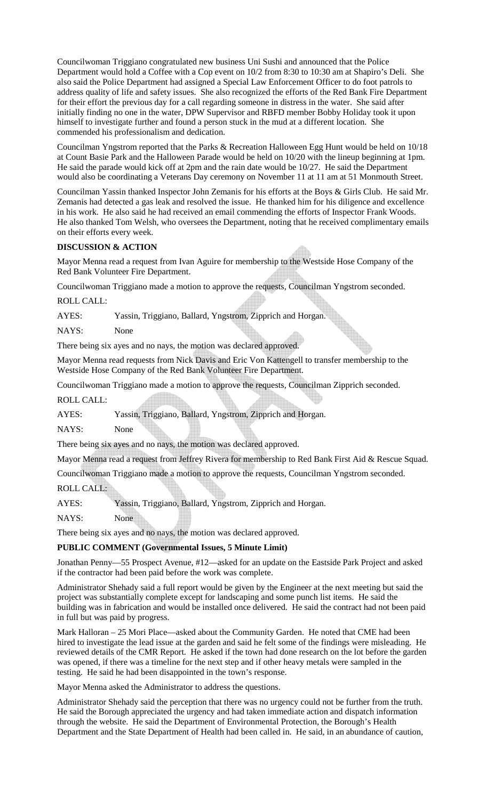Councilwoman Triggiano congratulated new business Uni Sushi and announced that the Police Department would hold a Coffee with a Cop event on 10/2 from 8:30 to 10:30 am at Shapiro's Deli. She also said the Police Department had assigned a Special Law Enforcement Officer to do foot patrols to address quality of life and safety issues. She also recognized the efforts of the Red Bank Fire Department for their effort the previous day for a call regarding someone in distress in the water. She said after initially finding no one in the water, DPW Supervisor and RBFD member Bobby Holiday took it upon himself to investigate further and found a person stuck in the mud at a different location. She commended his professionalism and dedication.

Councilman Yngstrom reported that the Parks & Recreation Halloween Egg Hunt would be held on 10/18 at Count Basie Park and the Halloween Parade would be held on 10/20 with the lineup beginning at 1pm. He said the parade would kick off at 2pm and the rain date would be 10/27. He said the Department would also be coordinating a Veterans Day ceremony on November 11 at 11 am at 51 Monmouth Street.

Councilman Yassin thanked Inspector John Zemanis for his efforts at the Boys & Girls Club. He said Mr. Zemanis had detected a gas leak and resolved the issue. He thanked him for his diligence and excellence in his work. He also said he had received an email commending the efforts of Inspector Frank Woods. He also thanked Tom Welsh, who oversees the Department, noting that he received complimentary emails on their efforts every week.

### **DISCUSSION & ACTION**

Mayor Menna read a request from Ivan Aguire for membership to the Westside Hose Company of the Red Bank Volunteer Fire Department.

Councilwoman Triggiano made a motion to approve the requests, Councilman Yngstrom seconded.

ROLL CALL:

AYES: Yassin, Triggiano, Ballard, Yngstrom, Zipprich and Horgan.

NAYS: None

There being six ayes and no nays, the motion was declared approved.

Mayor Menna read requests from Nick Davis and Eric Von Kattengell to transfer membership to the Westside Hose Company of the Red Bank Volunteer Fire Department.

Councilwoman Triggiano made a motion to approve the requests, Councilman Zipprich seconded.

ROLL CALL:

AYES: Yassin, Triggiano, Ballard, Yngstrom, Zipprich and Horgan.

NAYS: None

There being six ayes and no nays, the motion was declared approved.

Mayor Menna read a request from Jeffrey Rivera for membership to Red Bank First Aid & Rescue Squad.

Councilwoman Triggiano made a motion to approve the requests, Councilman Yngstrom seconded.

ROLL CALL:

AYES: Yassin, Triggiano, Ballard, Yngstrom, Zipprich and Horgan.

NAYS: None

There being six ayes and no nays, the motion was declared approved.

### **PUBLIC COMMENT (Governmental Issues, 5 Minute Limit)**

Jonathan Penny—55 Prospect Avenue, #12—asked for an update on the Eastside Park Project and asked if the contractor had been paid before the work was complete.

Administrator Shehady said a full report would be given by the Engineer at the next meeting but said the project was substantially complete except for landscaping and some punch list items. He said the building was in fabrication and would be installed once delivered. He said the contract had not been paid in full but was paid by progress.

Mark Halloran – 25 Mori Place—asked about the Community Garden. He noted that CME had been hired to investigate the lead issue at the garden and said he felt some of the findings were misleading. He reviewed details of the CMR Report. He asked if the town had done research on the lot before the garden was opened, if there was a timeline for the next step and if other heavy metals were sampled in the testing. He said he had been disappointed in the town's response.

Mayor Menna asked the Administrator to address the questions.

Administrator Shehady said the perception that there was no urgency could not be further from the truth. He said the Borough appreciated the urgency and had taken immediate action and dispatch information through the website. He said the Department of Environmental Protection, the Borough's Health Department and the State Department of Health had been called in. He said, in an abundance of caution,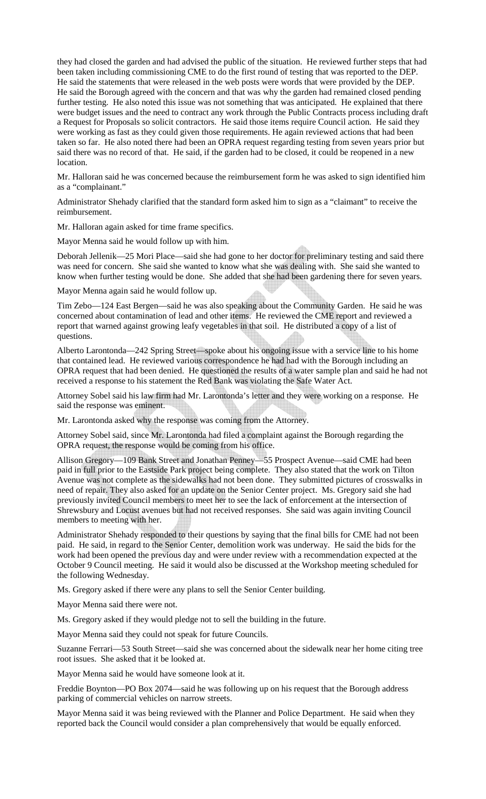they had closed the garden and had advised the public of the situation. He reviewed further steps that had been taken including commissioning CME to do the first round of testing that was reported to the DEP. He said the statements that were released in the web posts were words that were provided by the DEP. He said the Borough agreed with the concern and that was why the garden had remained closed pending further testing. He also noted this issue was not something that was anticipated. He explained that there were budget issues and the need to contract any work through the Public Contracts process including draft a Request for Proposals so solicit contractors. He said those items require Council action. He said they were working as fast as they could given those requirements. He again reviewed actions that had been taken so far. He also noted there had been an OPRA request regarding testing from seven years prior but said there was no record of that. He said, if the garden had to be closed, it could be reopened in a new location.

Mr. Halloran said he was concerned because the reimbursement form he was asked to sign identified him as a "complainant."

Administrator Shehady clarified that the standard form asked him to sign as a "claimant" to receive the reimbursement.

Mr. Halloran again asked for time frame specifics.

Mayor Menna said he would follow up with him.

Deborah Jellenik—25 Mori Place—said she had gone to her doctor for preliminary testing and said there was need for concern. She said she wanted to know what she was dealing with. She said she wanted to know when further testing would be done. She added that she had been gardening there for seven years.

Mayor Menna again said he would follow up.

Tim Zebo—124 East Bergen—said he was also speaking about the Community Garden. He said he was concerned about contamination of lead and other items. He reviewed the CME report and reviewed a report that warned against growing leafy vegetables in that soil. He distributed a copy of a list of questions.

Alberto Larontonda—242 Spring Street—spoke about his ongoing issue with a service line to his home that contained lead. He reviewed various correspondence he had had with the Borough including an OPRA request that had been denied. He questioned the results of a water sample plan and said he had not received a response to his statement the Red Bank was violating the Safe Water Act.

Attorney Sobel said his law firm had Mr. Larontonda's letter and they were working on a response. He said the response was eminent.

Mr. Larontonda asked why the response was coming from the Attorney.

Attorney Sobel said, since Mr. Larontonda had filed a complaint against the Borough regarding the OPRA request, the response would be coming from his office.

Allison Gregory—109 Bank Street and Jonathan Penney—55 Prospect Avenue—said CME had been paid in full prior to the Eastside Park project being complete. They also stated that the work on Tilton Avenue was not complete as the sidewalks had not been done. They submitted pictures of crosswalks in need of repair. They also asked for an update on the Senior Center project. Ms. Gregory said she had previously invited Council members to meet her to see the lack of enforcement at the intersection of Shrewsbury and Locust avenues but had not received responses. She said was again inviting Council members to meeting with her.

Administrator Shehady responded to their questions by saying that the final bills for CME had not been paid. He said, in regard to the Senior Center, demolition work was underway. He said the bids for the work had been opened the previous day and were under review with a recommendation expected at the October 9 Council meeting. He said it would also be discussed at the Workshop meeting scheduled for the following Wednesday.

Ms. Gregory asked if there were any plans to sell the Senior Center building.

Mayor Menna said there were not.

Ms. Gregory asked if they would pledge not to sell the building in the future.

Mayor Menna said they could not speak for future Councils.

Suzanne Ferrari—53 South Street—said she was concerned about the sidewalk near her home citing tree root issues. She asked that it be looked at.

Mayor Menna said he would have someone look at it.

Freddie Boynton—PO Box 2074—said he was following up on his request that the Borough address parking of commercial vehicles on narrow streets.

Mayor Menna said it was being reviewed with the Planner and Police Department. He said when they reported back the Council would consider a plan comprehensively that would be equally enforced.